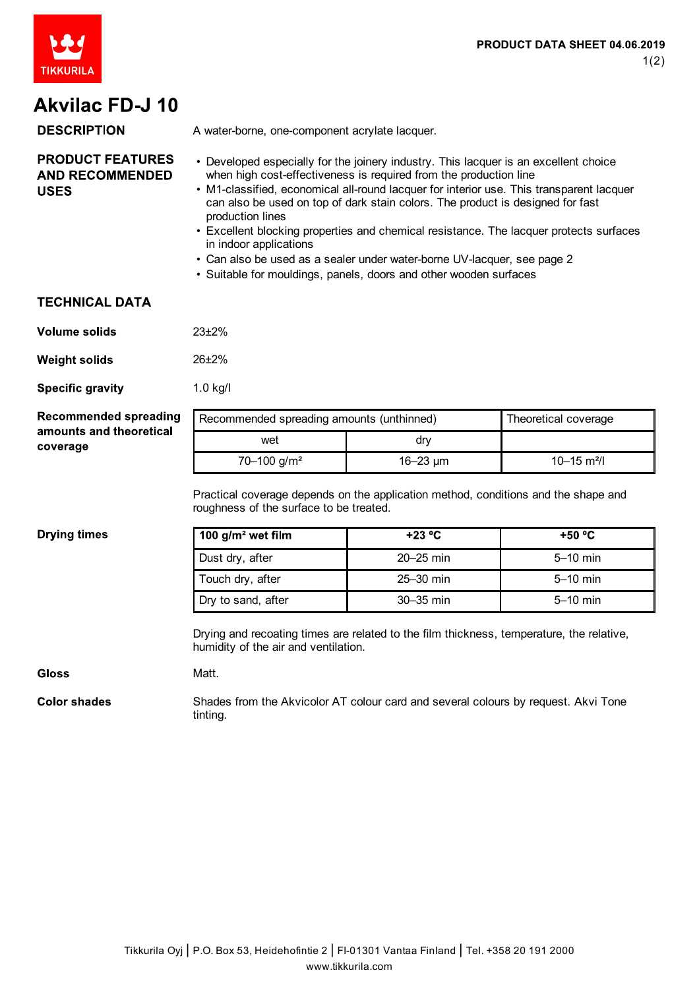

# **Akvilac FD-J 10**

#### **DESCRIPTION** A water-borne, one-component acrylate lacquer. **PRODUCT FEATURES** • Developed especially for the joinery industry. This lacquer is an excellent choice **AND RECOMMENDED** when high cost-effectiveness is required from the production line • M1-classified, economical all-round lacquer for interior use. This transparent lacquer **USES** can also be used on top of dark stain colors. The product is designed for fast production lines

- Excellent blocking properties and chemical resistance. The lacquer protects surfaces in indoor applications
- Can also be used as a sealer under water-borne UV-lacquer, see page 2
- Suitable for mouldings, panels, doors and other wooden surfaces

### **TECHNICAL DATA**

| Volume solids | $23+2%$ |
|---------------|---------|
|               |         |

Matt.

**Weight solids** 26±2%

**Specific gravity** 1.0 kg/l

| <b>Recommended spreading</b>        | Recommended spreading amounts (unthinned) |              | Theoretical coverage        |
|-------------------------------------|-------------------------------------------|--------------|-----------------------------|
| amounts and theoretical<br>coverage | wet                                       | dry          |                             |
|                                     | $70 - 100$ g/m <sup>2</sup>               | $16 - 23$ um | $10 - 15$ m <sup>2</sup> /l |

Practical coverage depends on the application method, conditions and the shape and roughness of the surface to be treated.

#### **Drying times**

| 100 $g/m^2$ wet film | $+23 °C$      | $+50 °C$   |
|----------------------|---------------|------------|
| Dust dry, after      | $20 - 25$ min | $5-10$ min |
| Touch dry, after     | $25-30$ min   | $5-10$ min |
| Dry to sand, after   | $30-35$ min   | $5-10$ min |

Drying and recoating times are related to the film thickness, temperature, the relative, humidity of the air and ventilation.

### **Gloss**

**Color shades** 

Shades from the Akvicolor AT colour card and several colours by request. Akvi Tone tinting.